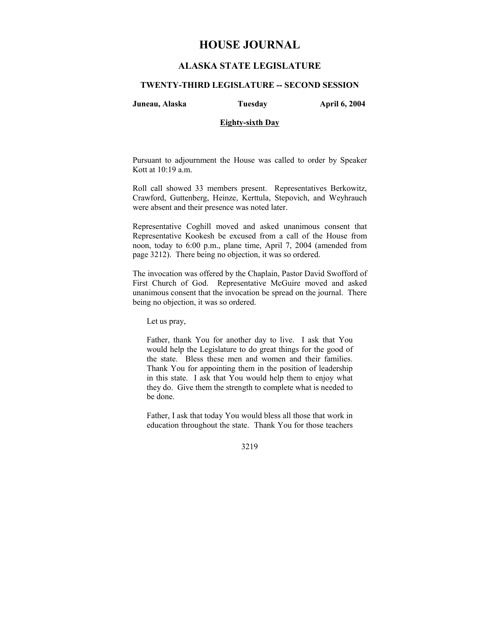# **HOUSE JOURNAL**

## **ALASKA STATE LEGISLATURE**

#### **TWENTY-THIRD LEGISLATURE -- SECOND SESSION**

**Juneau, Alaska Tuesday April 6, 2004** 

### **Eighty-sixth Day**

Pursuant to adjournment the House was called to order by Speaker Kott at 10:19 a.m.

Roll call showed 33 members present. Representatives Berkowitz, Crawford, Guttenberg, Heinze, Kerttula, Stepovich, and Weyhrauch were absent and their presence was noted later.

Representative Coghill moved and asked unanimous consent that Representative Kookesh be excused from a call of the House from noon, today to 6:00 p.m., plane time, April 7, 2004 (amended from page 3212). There being no objection, it was so ordered.

The invocation was offered by the Chaplain, Pastor David Swofford of First Church of God. Representative McGuire moved and asked unanimous consent that the invocation be spread on the journal. There being no objection, it was so ordered.

Let us pray,

Father, thank You for another day to live. I ask that You would help the Legislature to do great things for the good of the state. Bless these men and women and their families. Thank You for appointing them in the position of leadership in this state. I ask that You would help them to enjoy what they do. Give them the strength to complete what is needed to be done.

Father, I ask that today You would bless all those that work in education throughout the state. Thank You for those teachers

3219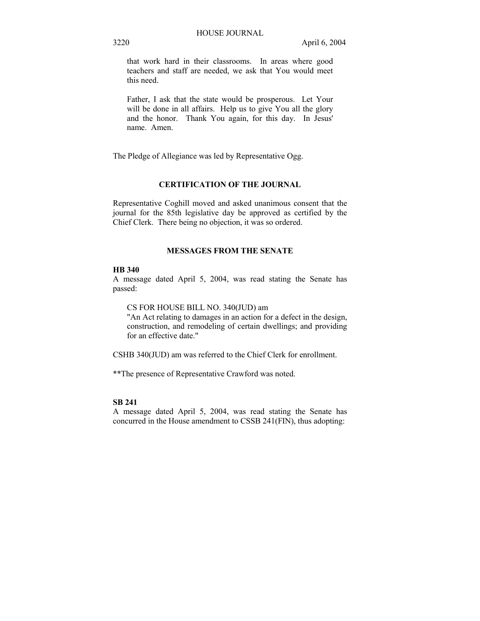that work hard in their classrooms. In areas where good teachers and staff are needed, we ask that You would meet this need.

Father, I ask that the state would be prosperous. Let Your will be done in all affairs. Help us to give You all the glory and the honor. Thank You again, for this day. In Jesus' name. Amen.

The Pledge of Allegiance was led by Representative Ogg.

#### **CERTIFICATION OF THE JOURNAL**

Representative Coghill moved and asked unanimous consent that the journal for the 85th legislative day be approved as certified by the Chief Clerk. There being no objection, it was so ordered.

### **MESSAGES FROM THE SENATE**

#### **HB 340**

A message dated April 5, 2004, was read stating the Senate has passed:

CS FOR HOUSE BILL NO. 340(JUD) am

"An Act relating to damages in an action for a defect in the design, construction, and remodeling of certain dwellings; and providing for an effective date."

CSHB 340(JUD) am was referred to the Chief Clerk for enrollment.

\*\*The presence of Representative Crawford was noted.

### **SB 241**

A message dated April 5, 2004, was read stating the Senate has concurred in the House amendment to CSSB 241(FIN), thus adopting: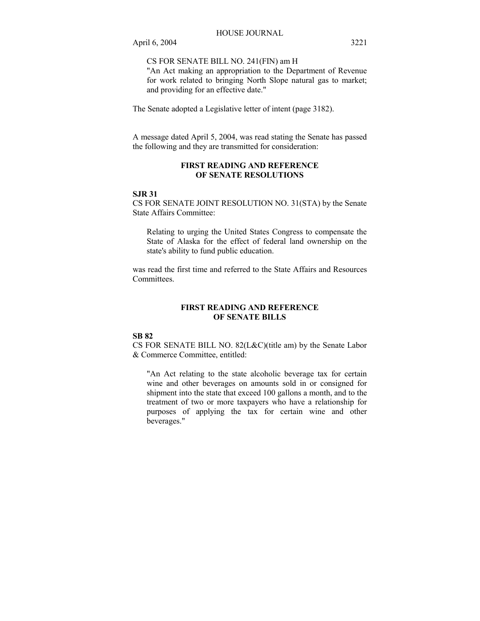CS FOR SENATE BILL NO. 241(FIN) am H

"An Act making an appropriation to the Department of Revenue for work related to bringing North Slope natural gas to market; and providing for an effective date."

The Senate adopted a Legislative letter of intent (page 3182).

A message dated April 5, 2004, was read stating the Senate has passed the following and they are transmitted for consideration:

### **FIRST READING AND REFERENCE OF SENATE RESOLUTIONS**

### **SJR 31**

CS FOR SENATE JOINT RESOLUTION NO. 31(STA) by the Senate State Affairs Committee:

Relating to urging the United States Congress to compensate the State of Alaska for the effect of federal land ownership on the state's ability to fund public education.

was read the first time and referred to the State Affairs and Resources **Committees** 

### **FIRST READING AND REFERENCE OF SENATE BILLS**

### **SB 82**

CS FOR SENATE BILL NO. 82(L&C)(title am) by the Senate Labor & Commerce Committee, entitled:

"An Act relating to the state alcoholic beverage tax for certain wine and other beverages on amounts sold in or consigned for shipment into the state that exceed 100 gallons a month, and to the treatment of two or more taxpayers who have a relationship for purposes of applying the tax for certain wine and other beverages."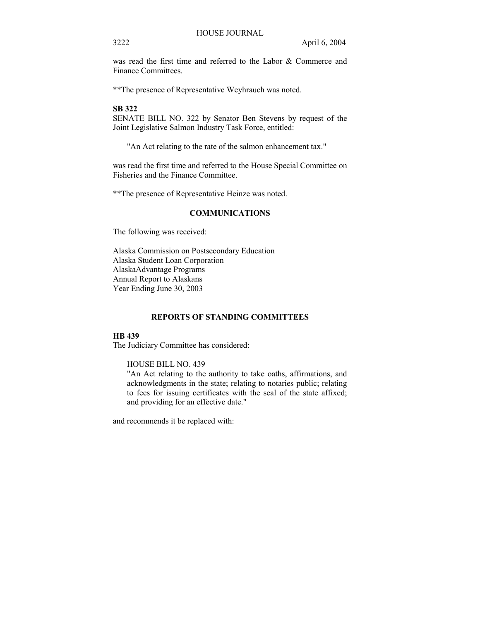was read the first time and referred to the Labor & Commerce and Finance Committees.

\*\*The presence of Representative Weyhrauch was noted.

### **SB 322**

SENATE BILL NO. 322 by Senator Ben Stevens by request of the Joint Legislative Salmon Industry Task Force, entitled:

"An Act relating to the rate of the salmon enhancement tax."

was read the first time and referred to the House Special Committee on Fisheries and the Finance Committee.

\*\*The presence of Representative Heinze was noted.

#### **COMMUNICATIONS**

The following was received:

Alaska Commission on Postsecondary Education Alaska Student Loan Corporation AlaskaAdvantage Programs Annual Report to Alaskans Year Ending June 30, 2003

#### **REPORTS OF STANDING COMMITTEES**

### **HB 439**

The Judiciary Committee has considered:

#### HOUSE BILL NO. 439

"An Act relating to the authority to take oaths, affirmations, and acknowledgments in the state; relating to notaries public; relating to fees for issuing certificates with the seal of the state affixed; and providing for an effective date."

and recommends it be replaced with: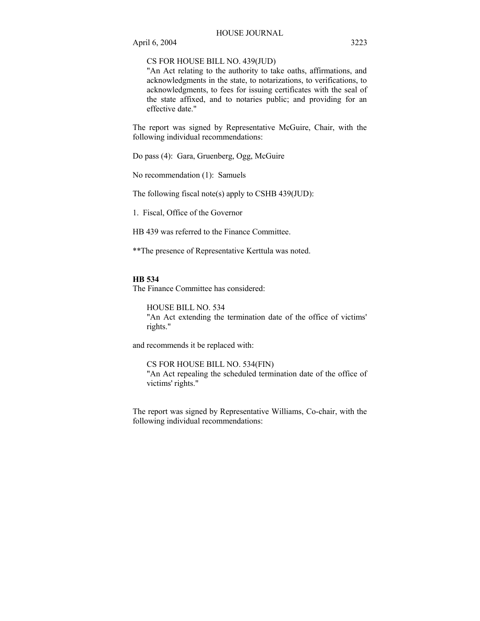### CS FOR HOUSE BILL NO. 439(JUD)

"An Act relating to the authority to take oaths, affirmations, and acknowledgments in the state, to notarizations, to verifications, to acknowledgments, to fees for issuing certificates with the seal of the state affixed, and to notaries public; and providing for an effective date."

The report was signed by Representative McGuire, Chair, with the following individual recommendations:

Do pass (4): Gara, Gruenberg, Ogg, McGuire

No recommendation (1): Samuels

The following fiscal note(s) apply to CSHB 439(JUD):

1. Fiscal, Office of the Governor

HB 439 was referred to the Finance Committee.

\*\*The presence of Representative Kerttula was noted.

#### **HB 534**

The Finance Committee has considered:

HOUSE BILL NO. 534 "An Act extending the termination date of the office of victims' rights."

and recommends it be replaced with:

CS FOR HOUSE BILL NO. 534(FIN) "An Act repealing the scheduled termination date of the office of victims' rights."

The report was signed by Representative Williams, Co-chair, with the following individual recommendations: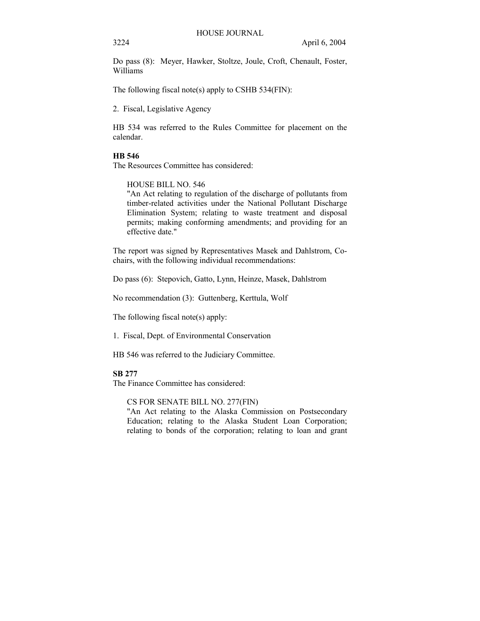Do pass (8): Meyer, Hawker, Stoltze, Joule, Croft, Chenault, Foster, Williams

The following fiscal note(s) apply to CSHB 534(FIN):

2. Fiscal, Legislative Agency

HB 534 was referred to the Rules Committee for placement on the calendar.

### **HB 546**

The Resources Committee has considered:

HOUSE BILL NO. 546

"An Act relating to regulation of the discharge of pollutants from timber-related activities under the National Pollutant Discharge Elimination System; relating to waste treatment and disposal permits; making conforming amendments; and providing for an effective date."

The report was signed by Representatives Masek and Dahlstrom, Cochairs, with the following individual recommendations:

Do pass (6): Stepovich, Gatto, Lynn, Heinze, Masek, Dahlstrom

No recommendation (3): Guttenberg, Kerttula, Wolf

The following fiscal note(s) apply:

1. Fiscal, Dept. of Environmental Conservation

HB 546 was referred to the Judiciary Committee.

### **SB 277**

The Finance Committee has considered:

CS FOR SENATE BILL NO. 277(FIN)

"An Act relating to the Alaska Commission on Postsecondary Education; relating to the Alaska Student Loan Corporation; relating to bonds of the corporation; relating to loan and grant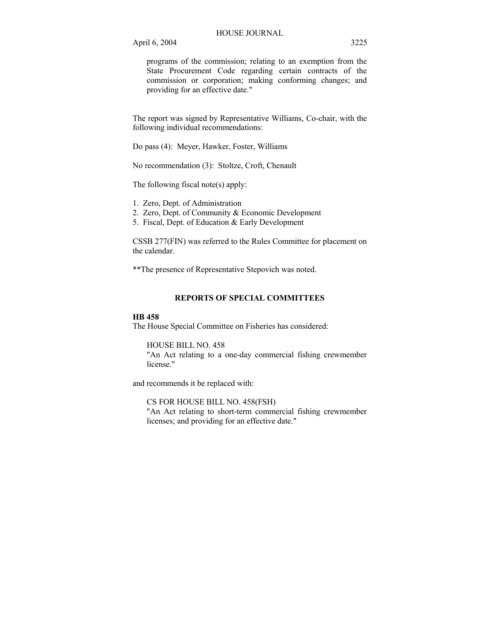programs of the commission; relating to an exemption from the State Procurement Code regarding certain contracts of the commission or corporation; making conforming changes; and providing for an effective date."

The report was signed by Representative Williams, Co-chair, with the following individual recommendations:

Do pass (4): Meyer, Hawker, Foster, Williams

No recommendation (3): Stoltze, Croft, Chenault

The following fiscal note(s) apply:

1. Zero, Dept. of Administration

2. Zero, Dept. of Community & Economic Development

5. Fiscal, Dept. of Education & Early Development

CSSB 277(FIN) was referred to the Rules Committee for placement on the calendar.

\*\*The presence of Representative Stepovich was noted.

### **REPORTS OF SPECIAL COMMITTEES**

#### **HB 458**

The House Special Committee on Fisheries has considered:

HOUSE BILL NO. 458

"An Act relating to a one-day commercial fishing crewmember license."

and recommends it be replaced with:

CS FOR HOUSE BILL NO. 458(FSH) "An Act relating to short-term commercial fishing crewmember licenses; and providing for an effective date."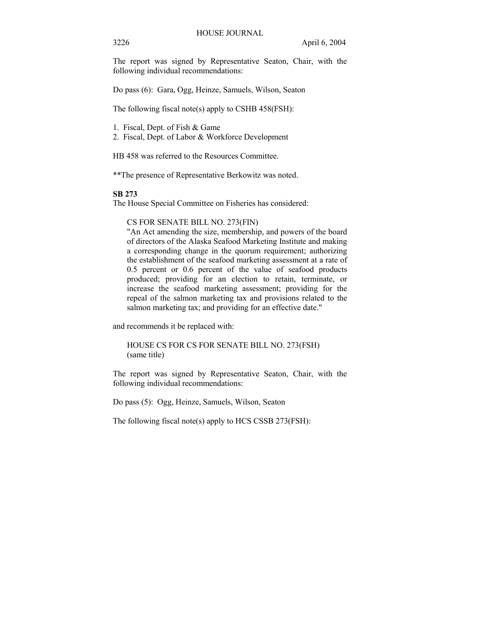The report was signed by Representative Seaton, Chair, with the following individual recommendations:

Do pass (6): Gara, Ogg, Heinze, Samuels, Wilson, Seaton

The following fiscal note(s) apply to CSHB 458(FSH):

- 1. Fiscal, Dept. of Fish & Game
- 2. Fiscal, Dept. of Labor & Workforce Development

HB 458 was referred to the Resources Committee.

\*\*The presence of Representative Berkowitz was noted.

#### **SB 273**

The House Special Committee on Fisheries has considered:

### CS FOR SENATE BILL NO. 273(FIN)

"An Act amending the size, membership, and powers of the board of directors of the Alaska Seafood Marketing Institute and making a corresponding change in the quorum requirement; authorizing the establishment of the seafood marketing assessment at a rate of 0.5 percent or 0.6 percent of the value of seafood products produced; providing for an election to retain, terminate, or increase the seafood marketing assessment; providing for the repeal of the salmon marketing tax and provisions related to the salmon marketing tax; and providing for an effective date."

and recommends it be replaced with:

### HOUSE CS FOR CS FOR SENATE BILL NO. 273(FSH) (same title)

The report was signed by Representative Seaton, Chair, with the following individual recommendations:

Do pass (5): Ogg, Heinze, Samuels, Wilson, Seaton

The following fiscal note(s) apply to HCS CSSB 273(FSH):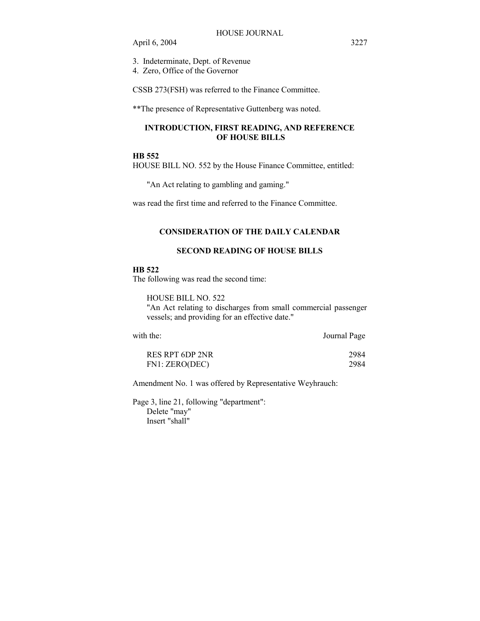- 3. Indeterminate, Dept. of Revenue
- 4. Zero, Office of the Governor

CSSB 273(FSH) was referred to the Finance Committee.

\*\*The presence of Representative Guttenberg was noted.

### **INTRODUCTION, FIRST READING, AND REFERENCE OF HOUSE BILLS**

## **HB 552**

HOUSE BILL NO. 552 by the House Finance Committee, entitled:

"An Act relating to gambling and gaming."

was read the first time and referred to the Finance Committee.

#### **CONSIDERATION OF THE DAILY CALENDAR**

### **SECOND READING OF HOUSE BILLS**

#### **HB 522**

The following was read the second time:

### HOUSE BILL NO. 522

"An Act relating to discharges from small commercial passenger vessels; and providing for an effective date."

| with the: | Journal Page |
|-----------|--------------|
|           |              |

| RES RPT 6DP 2NR | 2984 |
|-----------------|------|
| FN1: ZERO(DEC)  | 2984 |

Amendment No. 1 was offered by Representative Weyhrauch:

Page 3, line 21, following "department": Delete "may" Insert "shall"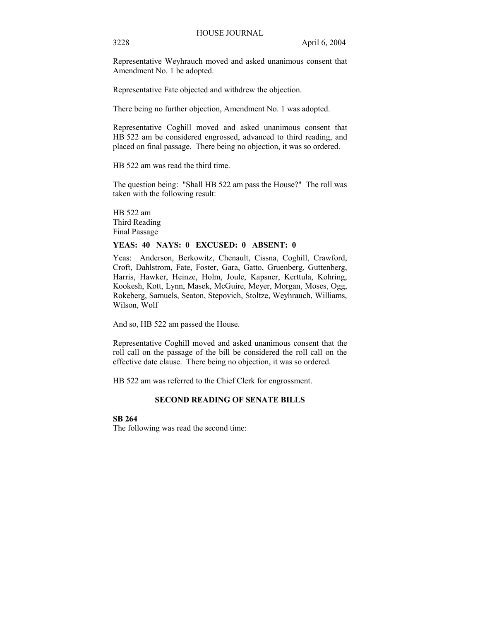Representative Weyhrauch moved and asked unanimous consent that Amendment No. 1 be adopted.

Representative Fate objected and withdrew the objection.

There being no further objection, Amendment No. 1 was adopted.

Representative Coghill moved and asked unanimous consent that HB 522 am be considered engrossed, advanced to third reading, and placed on final passage. There being no objection, it was so ordered.

HB 522 am was read the third time.

The question being: "Shall HB 522 am pass the House?" The roll was taken with the following result:

HB 522 am Third Reading Final Passage

#### **YEAS: 40 NAYS: 0 EXCUSED: 0 ABSENT: 0**

Yeas: Anderson, Berkowitz, Chenault, Cissna, Coghill, Crawford, Croft, Dahlstrom, Fate, Foster, Gara, Gatto, Gruenberg, Guttenberg, Harris, Hawker, Heinze, Holm, Joule, Kapsner, Kerttula, Kohring, Kookesh, Kott, Lynn, Masek, McGuire, Meyer, Morgan, Moses, Ogg, Rokeberg, Samuels, Seaton, Stepovich, Stoltze, Weyhrauch, Williams, Wilson, Wolf

And so, HB 522 am passed the House.

Representative Coghill moved and asked unanimous consent that the roll call on the passage of the bill be considered the roll call on the effective date clause. There being no objection, it was so ordered.

HB 522 am was referred to the Chief Clerk for engrossment.

### **SECOND READING OF SENATE BILLS**

## **SB 264**

The following was read the second time: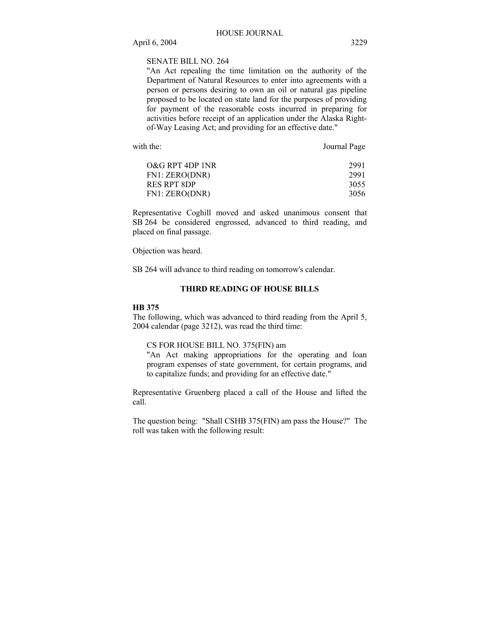SENATE BILL NO. 264

"An Act repealing the time limitation on the authority of the Department of Natural Resources to enter into agreements with a person or persons desiring to own an oil or natural gas pipeline proposed to be located on state land for the purposes of providing for payment of the reasonable costs incurred in preparing for activities before receipt of an application under the Alaska Rightof-Way Leasing Act; and providing for an effective date."

with the: Journal Page

| 2991 |
|------|
| 2991 |
| 3055 |
| 3056 |
|      |

Representative Coghill moved and asked unanimous consent that SB 264 be considered engrossed, advanced to third reading, and placed on final passage.

Objection was heard.

SB 264 will advance to third reading on tomorrow's calendar.

## **THIRD READING OF HOUSE BILLS**

#### **HB 375**

The following, which was advanced to third reading from the April 5, 2004 calendar (page 3212), was read the third time:

### CS FOR HOUSE BILL NO. 375(FIN) am

"An Act making appropriations for the operating and loan program expenses of state government, for certain programs, and to capitalize funds; and providing for an effective date."

Representative Gruenberg placed a call of the House and lifted the call.

The question being: "Shall CSHB 375(FIN) am pass the House?" The roll was taken with the following result: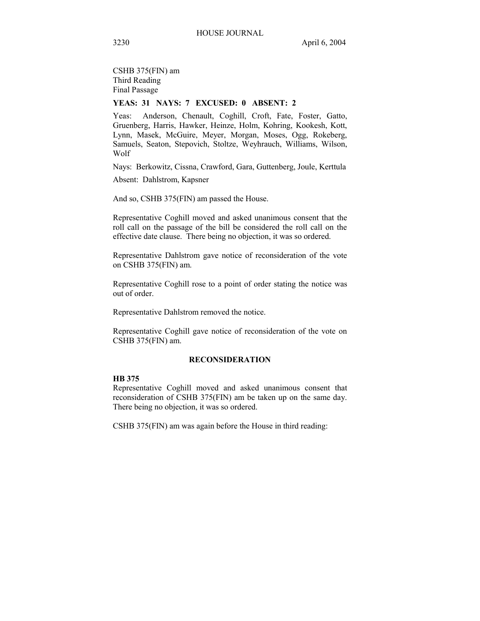CSHB 375(FIN) am Third Reading Final Passage

### **YEAS: 31 NAYS: 7 EXCUSED: 0 ABSENT: 2**

Yeas: Anderson, Chenault, Coghill, Croft, Fate, Foster, Gatto, Gruenberg, Harris, Hawker, Heinze, Holm, Kohring, Kookesh, Kott, Lynn, Masek, McGuire, Meyer, Morgan, Moses, Ogg, Rokeberg, Samuels, Seaton, Stepovich, Stoltze, Weyhrauch, Williams, Wilson, Wolf

Nays: Berkowitz, Cissna, Crawford, Gara, Guttenberg, Joule, Kerttula

Absent: Dahlstrom, Kapsner

And so, CSHB 375(FIN) am passed the House.

Representative Coghill moved and asked unanimous consent that the roll call on the passage of the bill be considered the roll call on the effective date clause. There being no objection, it was so ordered.

Representative Dahlstrom gave notice of reconsideration of the vote on CSHB 375(FIN) am.

Representative Coghill rose to a point of order stating the notice was out of order.

Representative Dahlstrom removed the notice.

Representative Coghill gave notice of reconsideration of the vote on CSHB 375(FIN) am.

### **RECONSIDERATION**

#### **HB 375**

Representative Coghill moved and asked unanimous consent that reconsideration of CSHB 375(FIN) am be taken up on the same day. There being no objection, it was so ordered.

CSHB 375(FIN) am was again before the House in third reading: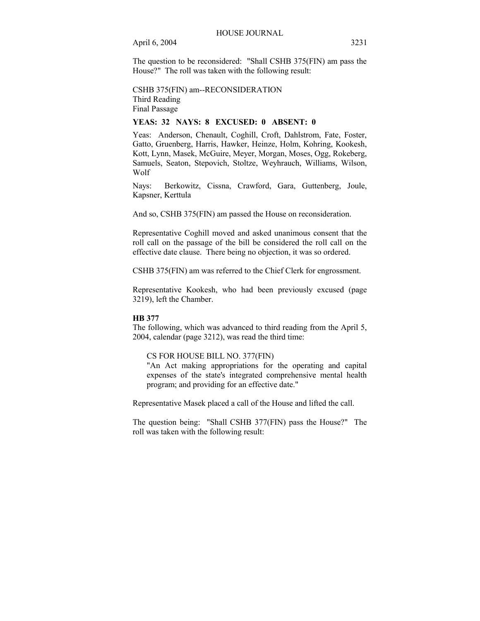The question to be reconsidered: "Shall CSHB 375(FIN) am pass the House?" The roll was taken with the following result:

CSHB 375(FIN) am--RECONSIDERATION Third Reading Final Passage

#### **YEAS: 32 NAYS: 8 EXCUSED: 0 ABSENT: 0**

Yeas: Anderson, Chenault, Coghill, Croft, Dahlstrom, Fate, Foster, Gatto, Gruenberg, Harris, Hawker, Heinze, Holm, Kohring, Kookesh, Kott, Lynn, Masek, McGuire, Meyer, Morgan, Moses, Ogg, Rokeberg, Samuels, Seaton, Stepovich, Stoltze, Weyhrauch, Williams, Wilson, Wolf

Nays: Berkowitz, Cissna, Crawford, Gara, Guttenberg, Joule, Kapsner, Kerttula

And so, CSHB 375(FIN) am passed the House on reconsideration.

Representative Coghill moved and asked unanimous consent that the roll call on the passage of the bill be considered the roll call on the effective date clause. There being no objection, it was so ordered.

CSHB 375(FIN) am was referred to the Chief Clerk for engrossment.

Representative Kookesh, who had been previously excused (page 3219), left the Chamber.

#### **HB 377**

The following, which was advanced to third reading from the April 5, 2004, calendar (page 3212), was read the third time:

#### CS FOR HOUSE BILL NO. 377(FIN)

"An Act making appropriations for the operating and capital expenses of the state's integrated comprehensive mental health program; and providing for an effective date."

Representative Masek placed a call of the House and lifted the call.

The question being: "Shall CSHB 377(FIN) pass the House?" The roll was taken with the following result: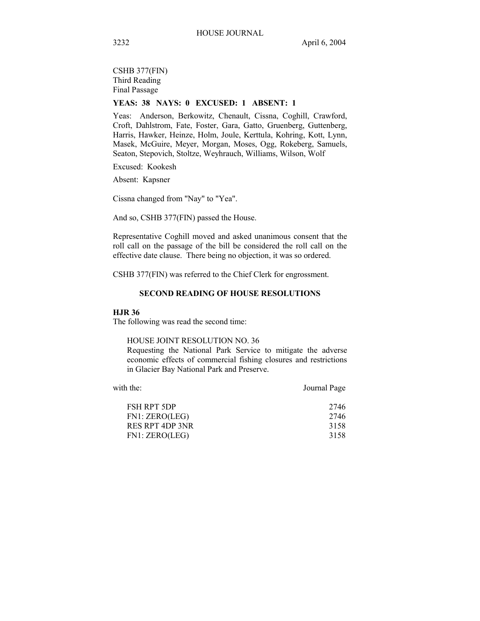CSHB 377(FIN) Third Reading Final Passage

## **YEAS: 38 NAYS: 0 EXCUSED: 1 ABSENT: 1**

Yeas: Anderson, Berkowitz, Chenault, Cissna, Coghill, Crawford, Croft, Dahlstrom, Fate, Foster, Gara, Gatto, Gruenberg, Guttenberg, Harris, Hawker, Heinze, Holm, Joule, Kerttula, Kohring, Kott, Lynn, Masek, McGuire, Meyer, Morgan, Moses, Ogg, Rokeberg, Samuels, Seaton, Stepovich, Stoltze, Weyhrauch, Williams, Wilson, Wolf

Excused: Kookesh

Absent: Kapsner

Cissna changed from "Nay" to "Yea".

And so, CSHB 377(FIN) passed the House.

Representative Coghill moved and asked unanimous consent that the roll call on the passage of the bill be considered the roll call on the effective date clause. There being no objection, it was so ordered.

CSHB 377(FIN) was referred to the Chief Clerk for engrossment.

### **SECOND READING OF HOUSE RESOLUTIONS**

#### **HJR 36**

The following was read the second time:

HOUSE JOINT RESOLUTION NO. 36

Requesting the National Park Service to mitigate the adverse economic effects of commercial fishing closures and restrictions in Glacier Bay National Park and Preserve.

| with the:              | Journal Page |
|------------------------|--------------|
| <b>FSH RPT 5DP</b>     | 2746         |
| FN1: ZERO(LEG)         | 2746         |
| <b>RES RPT 4DP 3NR</b> | 3158         |
| FN1: ZERO(LEG)         | 3158         |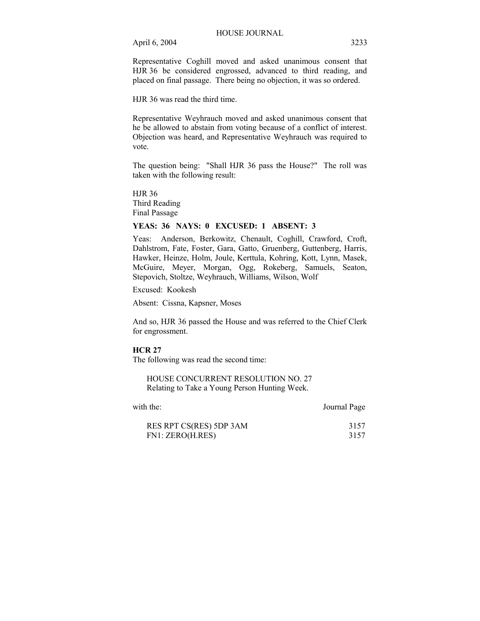Representative Coghill moved and asked unanimous consent that HJR 36 be considered engrossed, advanced to third reading, and placed on final passage. There being no objection, it was so ordered.

HJR 36 was read the third time.

Representative Weyhrauch moved and asked unanimous consent that he be allowed to abstain from voting because of a conflict of interest. Objection was heard, and Representative Weyhrauch was required to vote.

The question being: "Shall HJR 36 pass the House?" The roll was taken with the following result:

HJR 36 Third Reading Final Passage

### **YEAS: 36 NAYS: 0 EXCUSED: 1 ABSENT: 3**

Yeas: Anderson, Berkowitz, Chenault, Coghill, Crawford, Croft, Dahlstrom, Fate, Foster, Gara, Gatto, Gruenberg, Guttenberg, Harris, Hawker, Heinze, Holm, Joule, Kerttula, Kohring, Kott, Lynn, Masek, McGuire, Meyer, Morgan, Ogg, Rokeberg, Samuels, Seaton, Stepovich, Stoltze, Weyhrauch, Williams, Wilson, Wolf

Excused: Kookesh

Absent: Cissna, Kapsner, Moses

And so, HJR 36 passed the House and was referred to the Chief Clerk for engrossment.

#### **HCR 27**

The following was read the second time:

HOUSE CONCURRENT RESOLUTION NO. 27 Relating to Take a Young Person Hunting Week.

with the: Journal Page

| RES RPT CS(RES) 5DP 3AM | 3157 |
|-------------------------|------|
| FN1: ZERO(H.RES)        | 3157 |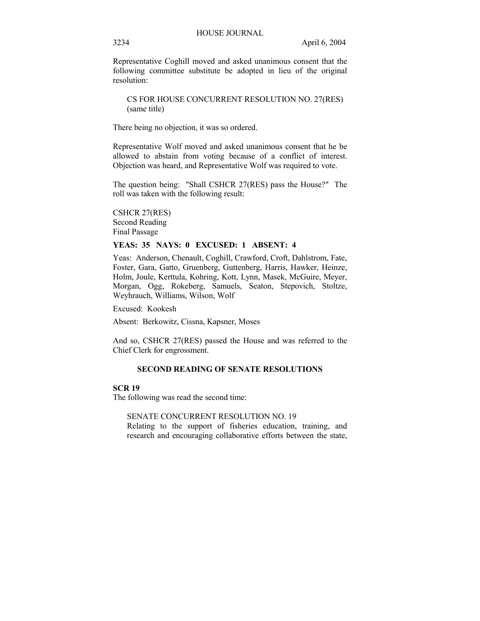Representative Coghill moved and asked unanimous consent that the following committee substitute be adopted in lieu of the original resolution:

CS FOR HOUSE CONCURRENT RESOLUTION NO. 27(RES) (same title)

There being no objection, it was so ordered.

Representative Wolf moved and asked unanimous consent that he be allowed to abstain from voting because of a conflict of interest. Objection was heard, and Representative Wolf was required to vote.

The question being: "Shall CSHCR 27(RES) pass the House?" The roll was taken with the following result:

CSHCR 27(RES) Second Reading Final Passage

#### **YEAS: 35 NAYS: 0 EXCUSED: 1 ABSENT: 4**

Yeas: Anderson, Chenault, Coghill, Crawford, Croft, Dahlstrom, Fate, Foster, Gara, Gatto, Gruenberg, Guttenberg, Harris, Hawker, Heinze, Holm, Joule, Kerttula, Kohring, Kott, Lynn, Masek, McGuire, Meyer, Morgan, Ogg, Rokeberg, Samuels, Seaton, Stepovich, Stoltze, Weyhrauch, Williams, Wilson, Wolf

Excused: Kookesh

Absent: Berkowitz, Cissna, Kapsner, Moses

And so, CSHCR 27(RES) passed the House and was referred to the Chief Clerk for engrossment.

#### **SECOND READING OF SENATE RESOLUTIONS**

### **SCR 19**

The following was read the second time:

### SENATE CONCURRENT RESOLUTION NO. 19

Relating to the support of fisheries education, training, and research and encouraging collaborative efforts between the state,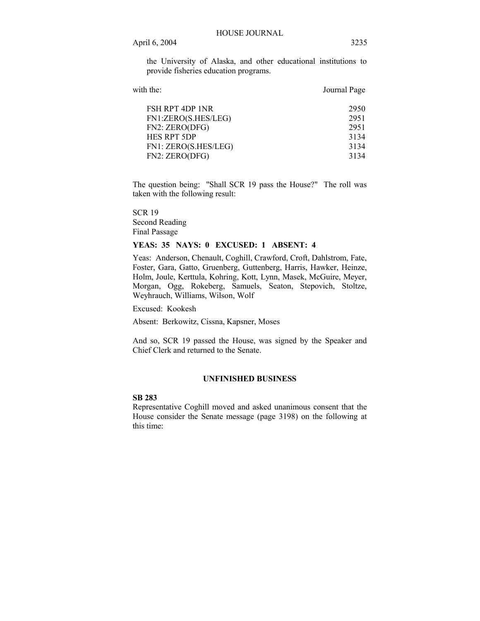the University of Alaska, and other educational institutions to provide fisheries education programs.

| with the:            | Journal Page |
|----------------------|--------------|
| FSH RPT 4DP 1NR      | 2950         |
| FN1:ZERO(S.HES/LEG)  | 2951         |
| FN2: ZERO(DFG)       | 2951         |
| HES RPT 5DP          | 3134         |
| FN1: ZERO(S.HES/LEG) | 3134         |
| FN2: ZERO(DFG)       | 3134         |
|                      |              |

The question being: "Shall SCR 19 pass the House?" The roll was taken with the following result:

SCR 19 Second Reading Final Passage

### **YEAS: 35 NAYS: 0 EXCUSED: 1 ABSENT: 4**

Yeas: Anderson, Chenault, Coghill, Crawford, Croft, Dahlstrom, Fate, Foster, Gara, Gatto, Gruenberg, Guttenberg, Harris, Hawker, Heinze, Holm, Joule, Kerttula, Kohring, Kott, Lynn, Masek, McGuire, Meyer, Morgan, Ogg, Rokeberg, Samuels, Seaton, Stepovich, Stoltze, Weyhrauch, Williams, Wilson, Wolf

Excused: Kookesh

Absent: Berkowitz, Cissna, Kapsner, Moses

And so, SCR 19 passed the House, was signed by the Speaker and Chief Clerk and returned to the Senate.

#### **UNFINISHED BUSINESS**

#### **SB 283**

Representative Coghill moved and asked unanimous consent that the House consider the Senate message (page 3198) on the following at this time: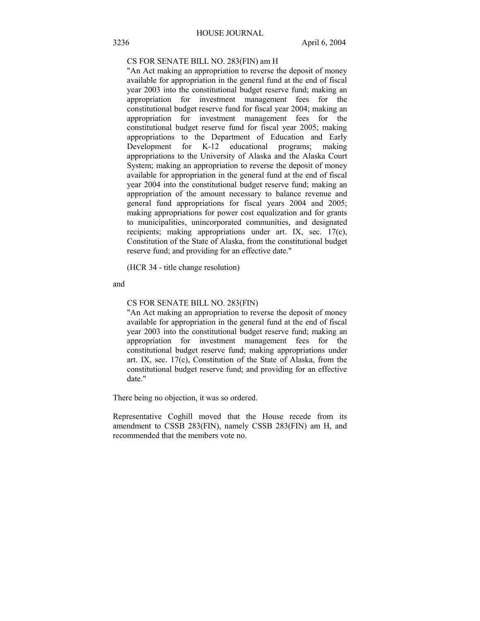#### CS FOR SENATE BILL NO. 283(FIN) am H

"An Act making an appropriation to reverse the deposit of money available for appropriation in the general fund at the end of fiscal year 2003 into the constitutional budget reserve fund; making an appropriation for investment management fees for the constitutional budget reserve fund for fiscal year 2004; making an appropriation for investment management fees for the constitutional budget reserve fund for fiscal year 2005; making appropriations to the Department of Education and Early Development for K-12 educational programs; making appropriations to the University of Alaska and the Alaska Court System; making an appropriation to reverse the deposit of money available for appropriation in the general fund at the end of fiscal year 2004 into the constitutional budget reserve fund; making an appropriation of the amount necessary to balance revenue and general fund appropriations for fiscal years 2004 and 2005; making appropriations for power cost equalization and for grants to municipalities, unincorporated communities, and designated recipients; making appropriations under art. IX, sec. 17(c), Constitution of the State of Alaska, from the constitutional budget reserve fund; and providing for an effective date."

(HCR 34 - title change resolution)

and

#### CS FOR SENATE BILL NO. 283(FIN)

"An Act making an appropriation to reverse the deposit of money available for appropriation in the general fund at the end of fiscal year 2003 into the constitutional budget reserve fund; making an appropriation for investment management fees for the constitutional budget reserve fund; making appropriations under art. IX, sec. 17(c), Constitution of the State of Alaska, from the constitutional budget reserve fund; and providing for an effective date."

There being no objection, it was so ordered.

Representative Coghill moved that the House recede from its amendment to CSSB 283(FIN), namely CSSB 283(FIN) am H, and recommended that the members vote no.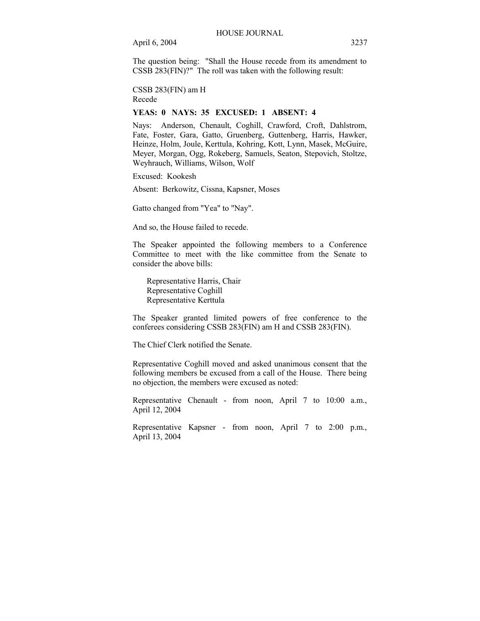The question being: "Shall the House recede from its amendment to CSSB 283(FIN)?" The roll was taken with the following result:

CSSB 283(FIN) am H Recede

### **YEAS: 0 NAYS: 35 EXCUSED: 1 ABSENT: 4**

Nays: Anderson, Chenault, Coghill, Crawford, Croft, Dahlstrom, Fate, Foster, Gara, Gatto, Gruenberg, Guttenberg, Harris, Hawker, Heinze, Holm, Joule, Kerttula, Kohring, Kott, Lynn, Masek, McGuire, Meyer, Morgan, Ogg, Rokeberg, Samuels, Seaton, Stepovich, Stoltze, Weyhrauch, Williams, Wilson, Wolf

Excused: Kookesh

Absent: Berkowitz, Cissna, Kapsner, Moses

Gatto changed from "Yea" to "Nay".

And so, the House failed to recede.

The Speaker appointed the following members to a Conference Committee to meet with the like committee from the Senate to consider the above bills:

 Representative Harris, Chair Representative Coghill Representative Kerttula

The Speaker granted limited powers of free conference to the conferees considering CSSB 283(FIN) am H and CSSB 283(FIN).

The Chief Clerk notified the Senate.

Representative Coghill moved and asked unanimous consent that the following members be excused from a call of the House. There being no objection, the members were excused as noted:

Representative Chenault - from noon, April 7 to 10:00 a.m., April 12, 2004

Representative Kapsner - from noon, April 7 to 2:00 p.m., April 13, 2004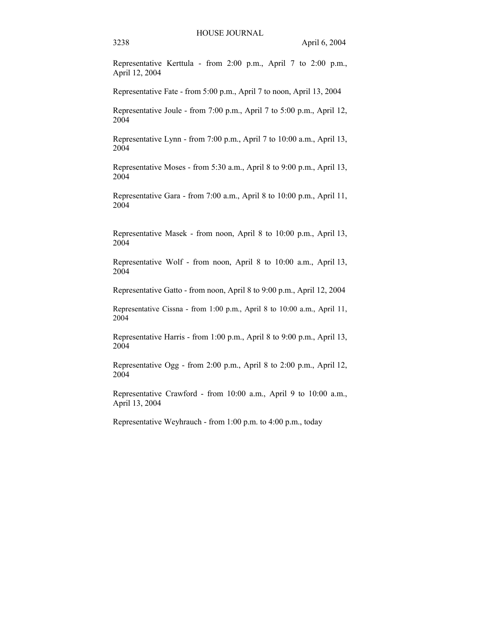Representative Kerttula - from 2:00 p.m., April 7 to 2:00 p.m., April 12, 2004

Representative Fate - from 5:00 p.m., April 7 to noon, April 13, 2004

Representative Joule - from 7:00 p.m., April 7 to 5:00 p.m., April 12, 2004

Representative Lynn - from 7:00 p.m., April 7 to 10:00 a.m., April 13, 2004

Representative Moses - from 5:30 a.m., April 8 to 9:00 p.m., April 13, 2004

Representative Gara - from 7:00 a.m., April 8 to 10:00 p.m., April 11, 2004

Representative Masek - from noon, April 8 to 10:00 p.m., April 13, 2004

Representative Wolf - from noon, April 8 to 10:00 a.m., April 13, 2004

Representative Gatto - from noon, April 8 to 9:00 p.m., April 12, 2004

Representative Cissna - from 1:00 p.m., April 8 to 10:00 a.m., April 11, 2004

Representative Harris - from 1:00 p.m., April 8 to 9:00 p.m., April 13, 2004

Representative Ogg - from 2:00 p.m., April 8 to 2:00 p.m., April 12, 2004

Representative Crawford - from 10:00 a.m., April 9 to 10:00 a.m., April 13, 2004

Representative Weyhrauch - from 1:00 p.m. to 4:00 p.m., today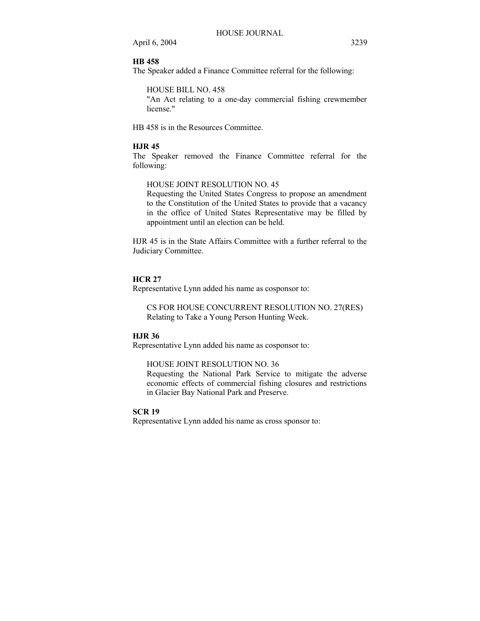## **HB 458**

The Speaker added a Finance Committee referral for the following:

HOUSE BILL NO. 458

"An Act relating to a one-day commercial fishing crewmember license."

HB 458 is in the Resources Committee.

### **HJR 45**

The Speaker removed the Finance Committee referral for the following:

HOUSE JOINT RESOLUTION NO. 45

Requesting the United States Congress to propose an amendment to the Constitution of the United States to provide that a vacancy in the office of United States Representative may be filled by appointment until an election can be held.

HJR 45 is in the State Affairs Committee with a further referral to the Judiciary Committee.

#### **HCR 27**

Representative Lynn added his name as cosponsor to:

CS FOR HOUSE CONCURRENT RESOLUTION NO. 27(RES) Relating to Take a Young Person Hunting Week.

### **HJR 36**

Representative Lynn added his name as cosponsor to:

HOUSE JOINT RESOLUTION NO. 36

Requesting the National Park Service to mitigate the adverse economic effects of commercial fishing closures and restrictions in Glacier Bay National Park and Preserve.

### **SCR 19**

Representative Lynn added his name as cross sponsor to: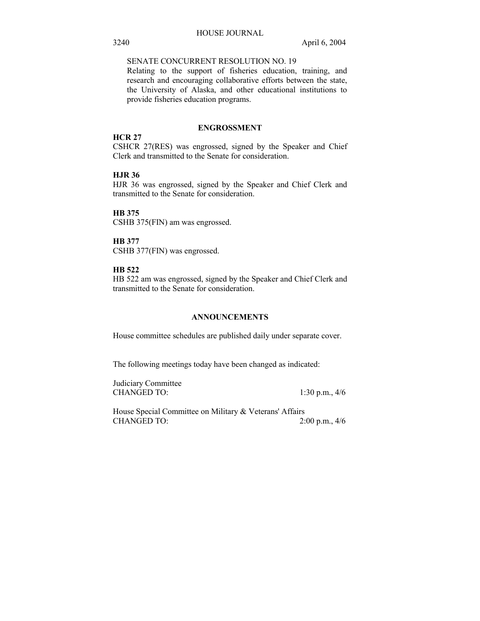### SENATE CONCURRENT RESOLUTION NO. 19

Relating to the support of fisheries education, training, and research and encouraging collaborative efforts between the state, the University of Alaska, and other educational institutions to provide fisheries education programs.

### **ENGROSSMENT**

#### **HCR 27**

CSHCR 27(RES) was engrossed, signed by the Speaker and Chief Clerk and transmitted to the Senate for consideration.

### **HJR 36**

HJR 36 was engrossed, signed by the Speaker and Chief Clerk and transmitted to the Senate for consideration.

#### **HB 375**

CSHB 375(FIN) am was engrossed.

# **HB 377**

CSHB 377(FIN) was engrossed.

### **HB 522**

HB 522 am was engrossed, signed by the Speaker and Chief Clerk and transmitted to the Senate for consideration.

### **ANNOUNCEMENTS**

House committee schedules are published daily under separate cover.

The following meetings today have been changed as indicated:

Judiciary Committee CHANGED TO: 1:30 p.m., 4/6

House Special Committee on Military & Veterans' Affairs CHANGED TO: 2:00 p.m., 4/6